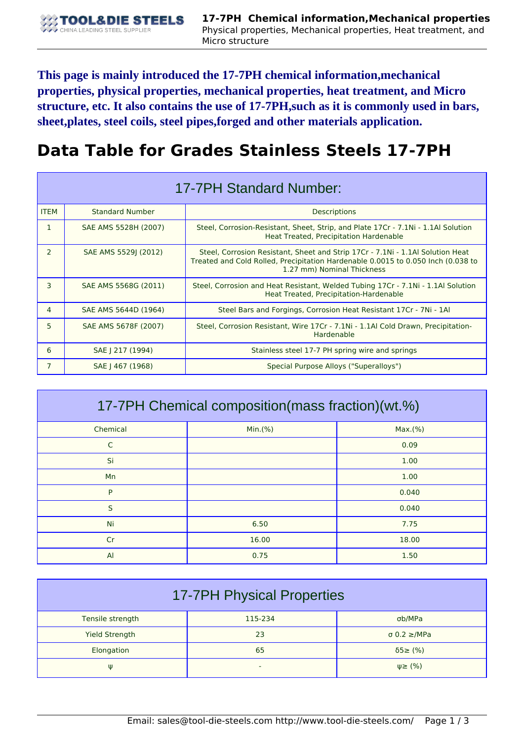**This page is mainly introduced the 17-7PH chemical information,mechanical properties, physical properties, mechanical properties, heat treatment, and Micro structure, etc. It also contains the use of 17-7PH,such as it is commonly used in bars, sheet,plates, steel coils, steel pipes,forged and other materials application.**

## **Data Table for Grades Stainless Steels 17-7PH**

| 17-7PH Standard Number: |                        |                                                                                                                                                                                                  |  |  |
|-------------------------|------------------------|--------------------------------------------------------------------------------------------------------------------------------------------------------------------------------------------------|--|--|
| <b>ITEM</b>             | <b>Standard Number</b> | Descriptions                                                                                                                                                                                     |  |  |
| 1                       | SAE AMS 5528H (2007)   | Steel, Corrosion-Resistant, Sheet, Strip, and Plate 17Cr - 7.1Ni - 1.1Al Solution<br>Heat Treated, Precipitation Hardenable                                                                      |  |  |
| $\mathcal{P}$           | SAE AMS 5529J (2012)   | Steel, Corrosion Resistant, Sheet and Strip 17Cr - 7.1Ni - 1.1Al Solution Heat<br>Treated and Cold Rolled, Precipitation Hardenable 0.0015 to 0.050 Inch (0.038 to<br>1.27 mm) Nominal Thickness |  |  |
| 3                       | SAE AMS 5568G (2011)   | Steel, Corrosion and Heat Resistant, Welded Tubing 17Cr - 7.1Ni - 1.1Al Solution<br>Heat Treated, Precipitation-Hardenable                                                                       |  |  |
| 4                       | SAE AMS 5644D (1964)   | Steel Bars and Forgings, Corrosion Heat Resistant 17Cr - 7Ni - 1Al                                                                                                                               |  |  |
| 5.                      | SAE AMS 5678F (2007)   | Steel, Corrosion Resistant, Wire 17Cr - 7.1Ni - 1.1Al Cold Drawn, Precipitation-<br>Hardenable                                                                                                   |  |  |
| 6                       | SAE   217 (1994)       | Stainless steel 17-7 PH spring wire and springs                                                                                                                                                  |  |  |
| 7                       | SAE   467 (1968)       | Special Purpose Alloys ("Superalloys")                                                                                                                                                           |  |  |

| 17-7PH Chemical composition (mass fraction) (wt.%) |         |         |  |  |
|----------------------------------------------------|---------|---------|--|--|
| Chemical                                           | Min.(%) | Max.(%) |  |  |
| $\mathsf{C}$                                       |         | 0.09    |  |  |
| Si                                                 |         | 1.00    |  |  |
| Mn                                                 |         | 1.00    |  |  |
| P                                                  |         | 0.040   |  |  |
| S                                                  |         | 0.040   |  |  |
| Ni                                                 | 6.50    | 7.75    |  |  |
| Cr                                                 | 16.00   | 18.00   |  |  |
| $\mathsf{A}$                                       | 0.75    | 1.50    |  |  |

| <b>17-7PH Physical Properties</b> |         |                          |  |  |
|-----------------------------------|---------|--------------------------|--|--|
| Tensile strength                  | 115-234 | σb/MPa                   |  |  |
| <b>Yield Strength</b>             | 23      | $\sigma$ 0.2 $\geq$ /MPa |  |  |
| Elongation                        | 65      | $\delta$ 5 $\geq$ (%)    |  |  |
| Ψ                                 | -       | $\psi \geq$ (%)          |  |  |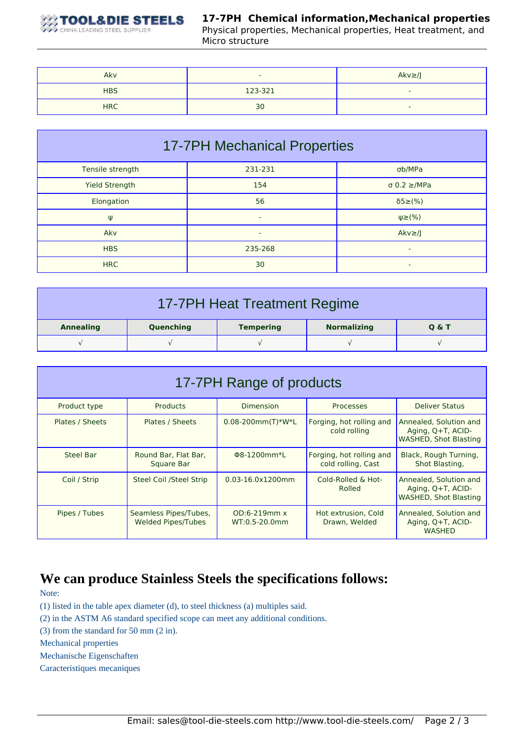

## **17-7PH Chemical information,Mechanical properties**

Physical properties, Mechanical properties, Heat treatment, and Micro structure

| Akv        | -       | $Akv \geq /J$ |
|------------|---------|---------------|
| <b>HBS</b> | 123-321 |               |
| <b>HRC</b> | 30      |               |

| <b>17-7PH Mechanical Properties</b> |         |                          |  |  |
|-------------------------------------|---------|--------------------------|--|--|
| Tensile strength                    | 231-231 | σb/MPa                   |  |  |
| <b>Yield Strength</b>               | 154     | $\sigma$ 0.2 $\geq$ /MPa |  |  |
| Elongation                          | 56      | $\delta$ 5 $\geq$ (%)    |  |  |
| Ψ                                   | ۰       | $\psi \geq (\%)$         |  |  |
| Akv                                 | ۰       | $Akv \geq l$             |  |  |
| <b>HBS</b>                          | 235-268 | ۰.                       |  |  |
| <b>HRC</b>                          | 30      | ۰                        |  |  |

| 17-7PH Heat Treatment Regime |           |                  |                    |                  |
|------------------------------|-----------|------------------|--------------------|------------------|
| <b>Annealing</b>             | Quenching | <b>Tempering</b> | <b>Normalizing</b> | <b>Q &amp; T</b> |
|                              |           |                  |                    |                  |

| 17-7PH Range of products |                                             |                                      |                                                |                                                                             |  |
|--------------------------|---------------------------------------------|--------------------------------------|------------------------------------------------|-----------------------------------------------------------------------------|--|
| Product type             | <b>Products</b>                             | <b>Dimension</b>                     | <b>Processes</b>                               | <b>Deliver Status</b>                                                       |  |
| Plates / Sheets          | Plates / Sheets                             | $0.08 - 200$ mm $(T)$ *W*L           | Forging, hot rolling and<br>cold rolling       | Annealed, Solution and<br>Aging, Q+T, ACID-<br><b>WASHED, Shot Blasting</b> |  |
| Steel Bar                | Round Bar, Flat Bar,<br><b>Square Bar</b>   | Φ8-1200mm*L                          | Forging, hot rolling and<br>cold rolling, Cast | Black, Rough Turning,<br>Shot Blasting,                                     |  |
| Coil / Strip             | <b>Steel Coil /Steel Strip</b>              | $0.03 - 16.0 \times 1200$ mm         | Cold-Rolled & Hot-<br>Rolled                   | Annealed, Solution and<br>Aging, Q+T, ACID-<br><b>WASHED, Shot Blasting</b> |  |
| Pipes / Tubes            | Seamless Pipes/Tubes,<br>Welded Pipes/Tubes | $OD:6-219mm \times$<br>WT:0.5-20.0mm | Hot extrusion, Cold<br>Drawn, Welded           | Annealed, Solution and<br>Aging, Q+T, ACID-<br><b>WASHED</b>                |  |

## **We can produce Stainless Steels the specifications follows:**

Note:

(1) listed in the table apex diameter (d), to steel thickness (a) multiples said.

(2) in the ASTM A6 standard specified scope can meet any additional conditions.

(3) from the standard for 50 mm (2 in).

Mechanical properties

Mechanische Eigenschaften

Caracteristiques mecaniques